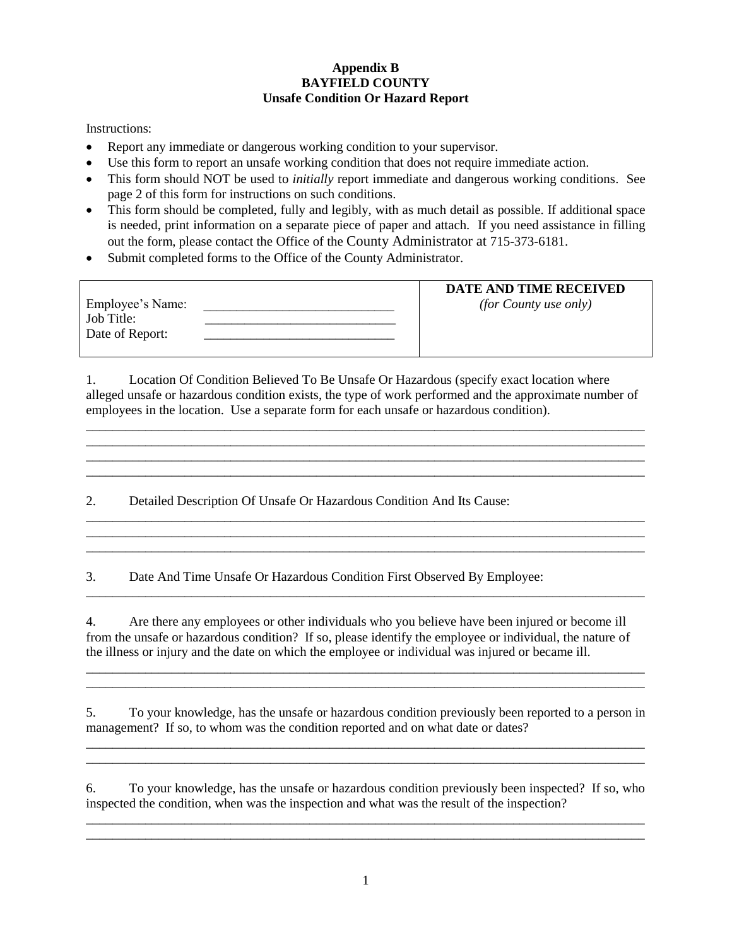## **Appendix B BAYFIELD COUNTY Unsafe Condition Or Hazard Report**

Instructions:

- Report any immediate or dangerous working condition to your supervisor.
- Use this form to report an unsafe working condition that does not require immediate action.
- This form should NOT be used to *initially* report immediate and dangerous working conditions. See page 2 of this form for instructions on such conditions.
- This form should be completed, fully and legibly, with as much detail as possible. If additional space is needed, print information on a separate piece of paper and attach. If you need assistance in filling out the form, please contact the Office of the County Administrator at 715-373-6181.
- Submit completed forms to the Office of the County Administrator.

|                  | DATE AND TIME RECEIVED       |
|------------------|------------------------------|
| Employee's Name: | <i>(for County use only)</i> |
| Job Title:       |                              |
| Date of Report:  |                              |
|                  |                              |

1. Location Of Condition Believed To Be Unsafe Or Hazardous (specify exact location where alleged unsafe or hazardous condition exists, the type of work performed and the approximate number of employees in the location. Use a separate form for each unsafe or hazardous condition).

\_\_\_\_\_\_\_\_\_\_\_\_\_\_\_\_\_\_\_\_\_\_\_\_\_\_\_\_\_\_\_\_\_\_\_\_\_\_\_\_\_\_\_\_\_\_\_\_\_\_\_\_\_\_\_\_\_\_\_\_\_\_\_\_\_\_\_\_\_\_\_\_\_\_\_\_\_\_\_\_\_\_\_\_\_

\_\_\_\_\_\_\_\_\_\_\_\_\_\_\_\_\_\_\_\_\_\_\_\_\_\_\_\_\_\_\_\_\_\_\_\_\_\_\_\_\_\_\_\_\_\_\_\_\_\_\_\_\_\_\_\_\_\_\_\_\_\_\_\_\_\_\_\_\_\_\_\_\_\_\_\_\_\_\_\_\_\_\_\_\_ \_\_\_\_\_\_\_\_\_\_\_\_\_\_\_\_\_\_\_\_\_\_\_\_\_\_\_\_\_\_\_\_\_\_\_\_\_\_\_\_\_\_\_\_\_\_\_\_\_\_\_\_\_\_\_\_\_\_\_\_\_\_\_\_\_\_\_\_\_\_\_\_\_\_\_\_\_\_\_\_\_\_\_\_\_

\_\_\_\_\_\_\_\_\_\_\_\_\_\_\_\_\_\_\_\_\_\_\_\_\_\_\_\_\_\_\_\_\_\_\_\_\_\_\_\_\_\_\_\_\_\_\_\_\_\_\_\_\_\_\_\_\_\_\_\_\_\_\_\_\_\_\_\_\_\_\_\_\_\_\_\_\_\_\_\_\_\_\_\_\_ \_\_\_\_\_\_\_\_\_\_\_\_\_\_\_\_\_\_\_\_\_\_\_\_\_\_\_\_\_\_\_\_\_\_\_\_\_\_\_\_\_\_\_\_\_\_\_\_\_\_\_\_\_\_\_\_\_\_\_\_\_\_\_\_\_\_\_\_\_\_\_\_\_\_\_\_\_\_\_\_\_\_\_\_\_ \_\_\_\_\_\_\_\_\_\_\_\_\_\_\_\_\_\_\_\_\_\_\_\_\_\_\_\_\_\_\_\_\_\_\_\_\_\_\_\_\_\_\_\_\_\_\_\_\_\_\_\_\_\_\_\_\_\_\_\_\_\_\_\_\_\_\_\_\_\_\_\_\_\_\_\_\_\_\_\_\_\_\_\_\_

2. Detailed Description Of Unsafe Or Hazardous Condition And Its Cause:

3. Date And Time Unsafe Or Hazardous Condition First Observed By Employee:

4. Are there any employees or other individuals who you believe have been injured or become ill from the unsafe or hazardous condition? If so, please identify the employee or individual, the nature of the illness or injury and the date on which the employee or individual was injured or became ill.

\_\_\_\_\_\_\_\_\_\_\_\_\_\_\_\_\_\_\_\_\_\_\_\_\_\_\_\_\_\_\_\_\_\_\_\_\_\_\_\_\_\_\_\_\_\_\_\_\_\_\_\_\_\_\_\_\_\_\_\_\_\_\_\_\_\_\_\_\_\_\_\_\_\_\_\_\_\_\_\_\_\_\_\_\_

5. To your knowledge, has the unsafe or hazardous condition previously been reported to a person in management? If so, to whom was the condition reported and on what date or dates? \_\_\_\_\_\_\_\_\_\_\_\_\_\_\_\_\_\_\_\_\_\_\_\_\_\_\_\_\_\_\_\_\_\_\_\_\_\_\_\_\_\_\_\_\_\_\_\_\_\_\_\_\_\_\_\_\_\_\_\_\_\_\_\_\_\_\_\_\_\_\_\_\_\_\_\_\_\_\_\_\_\_\_\_\_

\_\_\_\_\_\_\_\_\_\_\_\_\_\_\_\_\_\_\_\_\_\_\_\_\_\_\_\_\_\_\_\_\_\_\_\_\_\_\_\_\_\_\_\_\_\_\_\_\_\_\_\_\_\_\_\_\_\_\_\_\_\_\_\_\_\_\_\_\_\_\_\_\_\_\_\_\_\_\_\_\_\_\_\_\_ \_\_\_\_\_\_\_\_\_\_\_\_\_\_\_\_\_\_\_\_\_\_\_\_\_\_\_\_\_\_\_\_\_\_\_\_\_\_\_\_\_\_\_\_\_\_\_\_\_\_\_\_\_\_\_\_\_\_\_\_\_\_\_\_\_\_\_\_\_\_\_\_\_\_\_\_\_\_\_\_\_\_\_\_\_

6. To your knowledge, has the unsafe or hazardous condition previously been inspected? If so, who inspected the condition, when was the inspection and what was the result of the inspection? \_\_\_\_\_\_\_\_\_\_\_\_\_\_\_\_\_\_\_\_\_\_\_\_\_\_\_\_\_\_\_\_\_\_\_\_\_\_\_\_\_\_\_\_\_\_\_\_\_\_\_\_\_\_\_\_\_\_\_\_\_\_\_\_\_\_\_\_\_\_\_\_\_\_\_\_\_\_\_\_\_\_\_\_\_

\_\_\_\_\_\_\_\_\_\_\_\_\_\_\_\_\_\_\_\_\_\_\_\_\_\_\_\_\_\_\_\_\_\_\_\_\_\_\_\_\_\_\_\_\_\_\_\_\_\_\_\_\_\_\_\_\_\_\_\_\_\_\_\_\_\_\_\_\_\_\_\_\_\_\_\_\_\_\_\_\_\_\_\_\_

\_\_\_\_\_\_\_\_\_\_\_\_\_\_\_\_\_\_\_\_\_\_\_\_\_\_\_\_\_\_\_\_\_\_\_\_\_\_\_\_\_\_\_\_\_\_\_\_\_\_\_\_\_\_\_\_\_\_\_\_\_\_\_\_\_\_\_\_\_\_\_\_\_\_\_\_\_\_\_\_\_\_\_\_\_